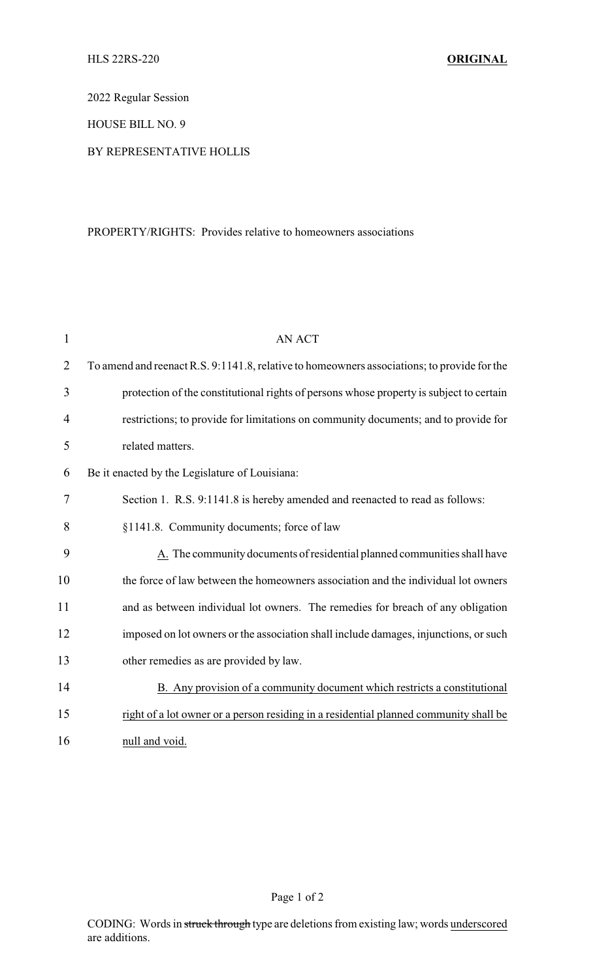2022 Regular Session

HOUSE BILL NO. 9

## BY REPRESENTATIVE HOLLIS

# PROPERTY/RIGHTS: Provides relative to homeowners associations

| 1              | <b>AN ACT</b>                                                                               |
|----------------|---------------------------------------------------------------------------------------------|
| $\overline{2}$ | To amend and reenact R.S. 9:1141.8, relative to homeowners associations; to provide for the |
| 3              | protection of the constitutional rights of persons whose property is subject to certain     |
| 4              | restrictions; to provide for limitations on community documents; and to provide for         |
| 5              | related matters.                                                                            |
| 6              | Be it enacted by the Legislature of Louisiana:                                              |
| 7              | Section 1. R.S. 9:1141.8 is hereby amended and reenacted to read as follows:                |
| 8              | §1141.8. Community documents; force of law                                                  |
| 9              | A. The community documents of residential planned communities shall have                    |
| 10             | the force of law between the homeowners association and the individual lot owners           |
| 11             | and as between individual lot owners. The remedies for breach of any obligation             |
| 12             | imposed on lot owners or the association shall include damages, injunctions, or such        |
| 13             | other remedies as are provided by law.                                                      |
| 14             | B. Any provision of a community document which restricts a constitutional                   |
| 15             | right of a lot owner or a person residing in a residential planned community shall be       |
| 16             | null and void.                                                                              |